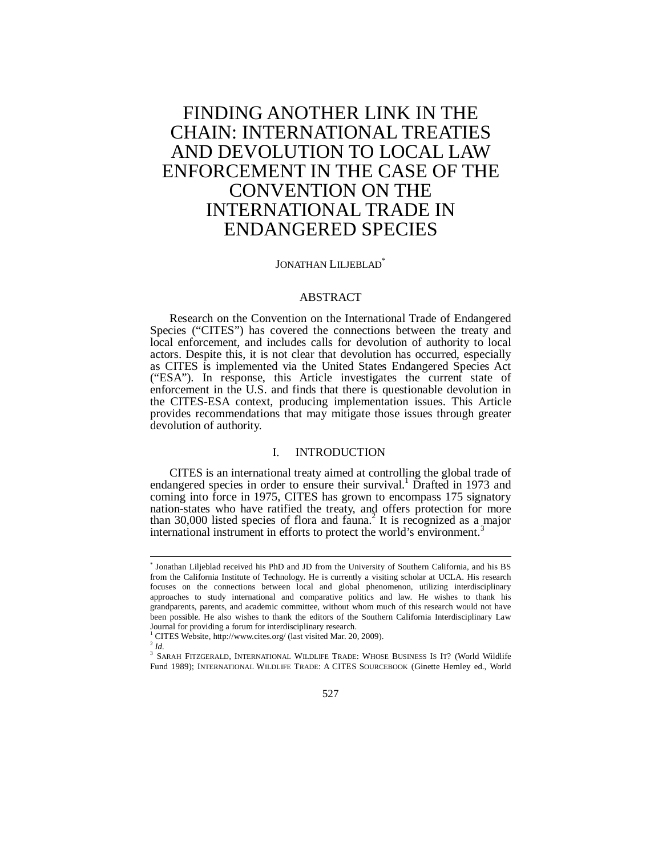# FINDING ANOTHER LINK IN THE CHAIN: INTERNATIONAL TREATIES AND DEVOLUTION TO LOCAL LAW ENFORCEMENT IN THE CASE OF THE CONVENTION ON THE INTERNATIONAL TRADE IN ENDANGERED SPECIES

#### JONATHAN LILJEBLAD<sup>\*</sup>

## ABSTRACT

Research on the Convention on the International Trade of Endangered Species ("CITES") has covered the connections between the treaty and local enforcement, and includes calls for devolution of authority to local actors. Despite this, it is not clear that devolution has occurred, especially as CITES is implemented via the United States Endangered Species Act ("ESA"). In response, this Article investigates the current state of enforcement in the U.S. and finds that there is questionable devolution in the CITES-ESA context, producing implementation issues. This Article provides recommendations that may mitigate those issues through greater devolution of authority.

## I. INTRODUCTION

CITES is an international treaty aimed at controlling the global trade of endangered species in order to ensure their survival.<sup>1</sup> Drafted in 1973 and coming into force in 1975, CITES has grown to encompass 175 signatory nation-states who have ratified the treaty, and offers protection for more than 30,000 listed species of flora and fauna.<sup>2</sup> It is recognized as a major international instrument in efforts to protect the world's environment.<sup>3</sup>

<sup>\*</sup> Jonathan Liljeblad received his PhD and JD from the University of Southern California, and his BS from the California Institute of Technology. He is currently a visiting scholar at UCLA. His research focuses on the connections between local and global phenomenon, utilizing interdisciplinary approaches to study international and comparative politics and law. He wishes to thank his grandparents, parents, and academic committee, without whom much of this research would not have been possible. He also wishes to thank the editors of the Southern California Interdisciplinary Law Journal for providing a forum for interdisciplinary research.

<sup>1</sup> CITES Website, http://www.cites.org/ (last visited Mar. 20, 2009).

<sup>2</sup> *Id.*

<sup>&</sup>lt;sup>3</sup> SARAH FITZGERALD, INTERNATIONAL WILDLIFE TRADE: WHOSE BUSINESS IS IT? (World Wildlife Fund 1989); INTERNATIONAL WILDLIFE TRADE: A CITES SOURCEBOOK (Ginette Hemley ed., World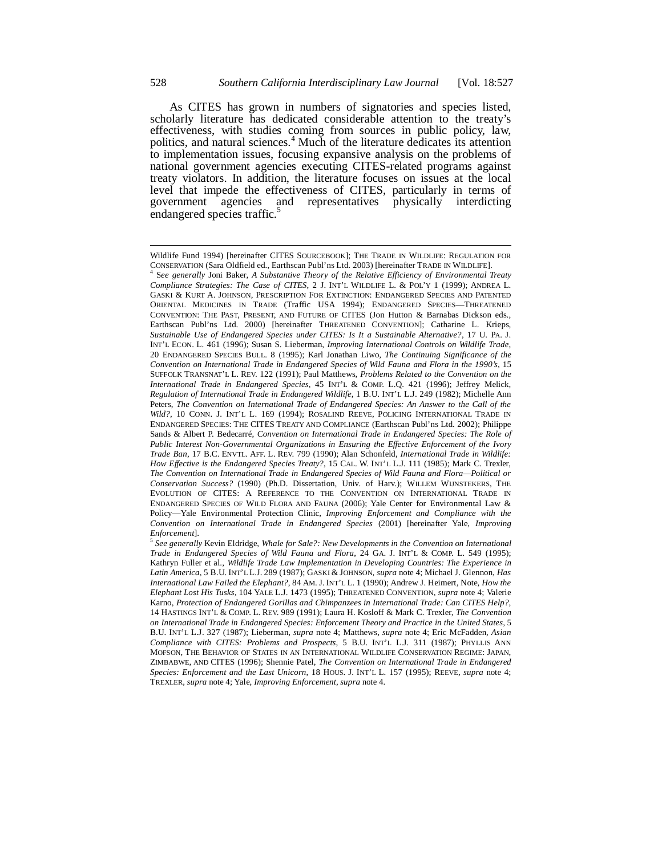As CITES has grown in numbers of signatories and species listed, scholarly literature has dedicated considerable attention to the treaty's effectiveness, with studies coming from sources in public policy, law, politics, and natural sciences.<sup>4</sup> Much of the literature dedicates its attention to implementation issues, focusing expansive analysis on the problems of national government agencies executing CITES-related programs against treaty violators. In addition, the literature focuses on issues at the local level that impede the effectiveness of CITES, particularly in terms of and representatives physically endangered species traffic.<sup>5</sup>

Wildlife Fund 1994) [hereinafter CITES SOURCEBOOK]; THE TRADE IN WILDLIFE: REGULATION FOR CONSERVATION (Sara Oldfield ed., Earthscan Publ'ns Ltd. 2003) [hereinafter TRADE IN WILDLIFE]. 4

S*ee generally* Joni Baker, *A Substantive Theory of the Relative Efficiency of Environmental Treaty Compliance Strategies: The Case of CITES*, 2 J. INT'L WILDLIFE L. & POL'Y 1 (1999); ANDREA L. GASKI & KURT A. JOHNSON, PRESCRIPTION FOR EXTINCTION: ENDANGERED SPECIES AND PATENTED ORIENTAL MEDICINES IN TRADE (Traffic USA 1994); ENDANGERED SPECIES—THREATENED CONVENTION: THE PAST, PRESENT, AND FUTURE OF CITES (Jon Hutton & Barnabas Dickson eds., Earthscan Publ'ns Ltd. 2000) [hereinafter THREATENED CONVENTION]; Catharine L. Krieps, *Sustainable Use of Endangered Species under CITES: Is It a Sustainable Alternative?*, 17 U. PA. J. INT'L ECON. L. 461 (1996); Susan S. Lieberman, *Improving International Controls on Wildlife Trade*, 20 ENDANGERED SPECIES BULL. 8 (1995); Karl Jonathan Liwo, *The Continuing Significance of the Convention on International Trade in Endangered Species of Wild Fauna and Flora in the 1990's*, 15 SUFFOLK TRANSNAT'L L. REV. 122 (1991); Paul Matthews, *Problems Related to the Convention on the International Trade in Endangered Species*, 45 INT'L & COMP. L.Q. 421 (1996); Jeffrey Melick, *Regulation of International Trade in Endangered Wildlife*, 1 B.U. INT'L L.J. 249 (1982); Michelle Ann Peters, *The Convention on International Trade of Endangered Species: An Answer to the Call of the Wild?*, 10 CONN. J. INT'L L. 169 (1994); ROSALIND REEVE, POLICING INTERNATIONAL TRADE IN ENDANGERED SPECIES: THE CITES TREATY AND COMPLIANCE (Earthscan Publ'ns Ltd. 2002); Philippe Sands & Albert P. Bedecarré, *Convention on International Trade in Endangered Species: The Role of Public Interest Non-Governmental Organizations in Ensuring the Effective Enforcement of the Ivory Trade Ban*, 17 B.C. ENVTL. AFF. L. REV. 799 (1990); Alan Schonfeld, *International Trade in Wildlife: How Effective is the Endangered Species Treaty?*, 15 CAL. W. INT'L L.J. 111 (1985); Mark C. Trexler, *The Convention on International Trade in Endangered Species of Wild Fauna and Flora—Political or Conservation Success?* (1990) (Ph.D. Dissertation, Univ. of Harv.); WILLEM WIJNSTEKERS, THE EVOLUTION OF CITES: A REFERENCE TO THE CONVENTION ON INTERNATIONAL TRADE IN ENDANGERED SPECIES OF WILD FLORA AND FAUNA (2006); Yale Center for Environmental Law & Policy—Yale Environmental Protection Clinic, *Improving Enforcement and Compliance with the Convention on International Trade in Endangered Species* (2001) [hereinafter Yale, *Improving* 

*Enforcement*]. 5 *See generally* Kevin Eldridge, *Whale for Sale?: New Developments in the Convention on International Trade in Endangered Species of Wild Fauna and Flora*, 24 GA. J. INT'L & COMP. L. 549 (1995); Kathryn Fuller et al., *Wildlife Trade Law Implementation in Developing Countries: The Experience in Latin America*, 5 B.U. INT'L L.J. 289 (1987); GASKI & JOHNSON, *supra* note 4; Michael J. Glennon, *Has International Law Failed the Elephant?*, 84 AM. J. INT'L L. 1 (1990); Andrew J. Heimert, Note, *How the Elephant Lost His Tusks*, 104 YALE L.J. 1473 (1995); THREATENED CONVENTION, *supra* note 4; Valerie Karno, *Protection of Endangered Gorillas and Chimpanzees in International Trade: Can CITES Help?*, 14 HASTINGS INT'L & COMP. L. REV. 989 (1991); Laura H. Kosloff & Mark C. Trexler, *The Convention on International Trade in Endangered Species: Enforcement Theory and Practice in the United States*, 5 B.U. INT'L L.J. 327 (1987); Lieberman, *supra* note 4; Matthews, *supra* note 4; Eric McFadden, *Asian Compliance with CITES: Problems and Prospects*, 5 B.U. INT'L L.J. 311 (1987); PHYLLIS ANN MOFSON, THE BEHAVIOR OF STATES IN AN INTERNATIONAL WILDLIFE CONSERVATION REGIME: JAPAN, ZIMBABWE, AND CITES (1996); Shennie Patel, *The Convention on International Trade in Endangered Species: Enforcement and the Last Unicorn*, 18 HOUS. J. INT'L L. 157 (1995); REEVE, *supra* note 4; TREXLER, *supra* note 4; Yale, *Improving Enforcement*, *supra* note 4.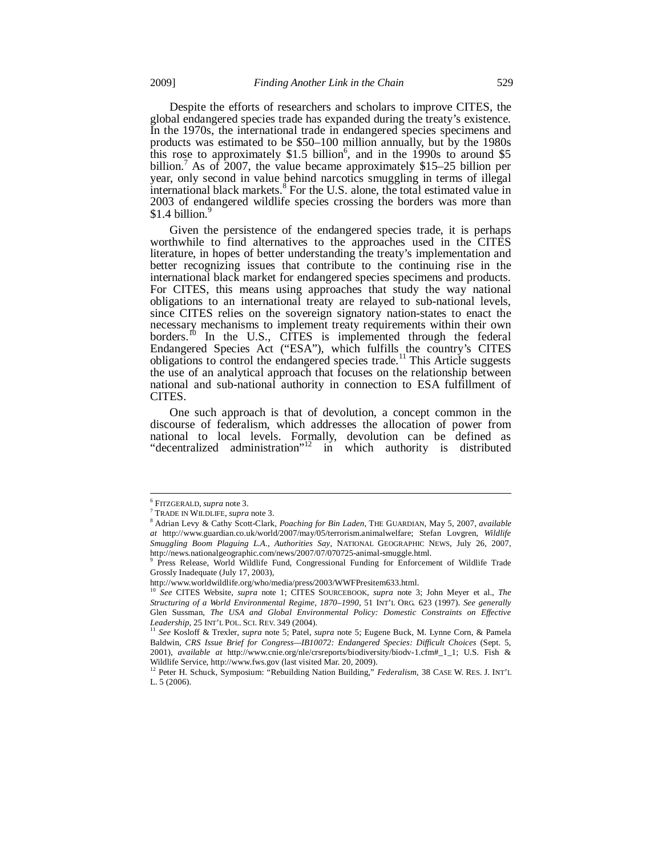Despite the efforts of researchers and scholars to improve CITES, the

global endangered species trade has expanded during the treaty's existence. In the 1970s, the international trade in endangered species specimens and products was estimated to be \$50–100 million annually, but by the 1980s this rose to approximately  $$1.5$  billion<sup>6</sup>, and in the 1990s to around  $$5$ billion.<sup>7</sup> As of 2007, the value became approximately \$15–25 billion per year, only second in value behind narcotics smuggling in terms of illegal international black markets. $8$  For the U.S. alone, the total estimated value in 2003 of endangered wildlife species crossing the borders was more than \$1.4 billion. $9$ 

Given the persistence of the endangered species trade, it is perhaps worthwhile to find alternatives to the approaches used in the CITES literature, in hopes of better understanding the treaty's implementation and better recognizing issues that contribute to the continuing rise in the international black market for endangered species specimens and products. For CITES, this means using approaches that study the way national obligations to an international treaty are relayed to sub-national levels, since CITES relies on the sovereign signatory nation-states to enact the necessary mechanisms to implement treaty requirements within their own borders.<sup>10</sup> In the U.S., CITES is implemented through the federal Endangered Species Act ("ESA"), which fulfills the country's CITES obligations to control the endangered species trade.<sup>11</sup> This Article suggests the use of an analytical approach that focuses on the relationship between national and sub-national authority in connection to ESA fulfillment of CITES.

One such approach is that of devolution, a concept common in the discourse of federalism, which addresses the allocation of power from national to local levels. Formally, devolution can be defined as "decentralized administration"<sup>12</sup> in which authority is distributed

<sup>&</sup>lt;sup>6</sup><br>FITZGERALD, *supra* note 3.<br><sup>7</sup> TBADE DI WULDI JEE supra

TRADE IN WILDLIFE, *supra* note 3. 8 Adrian Levy & Cathy Scott-Clark, *Poaching for Bin Laden*, THE GUARDIAN, May 5, 2007, *available at* http://www.guardian.co.uk/world/2007/may/05/terrorism.animalwelfare; Stefan Lovgren, *Wildlife Smuggling Boom Plaguing L.A., Authorities Say*, NATIONAL GEOGRAPHIC NEWS, July 26, 2007, http://news.nationalgeographic.com/news/2007/07/070725-animal-smuggle.html.

<sup>9</sup> Press Release, World Wildlife Fund, Congressional Funding for Enforcement of Wildlife Trade Grossly Inadequate (July 17, 2003),

http://www.worldwildlife.org/who/media/press/2003/WWFPresitem633.html.

<sup>10</sup> *See* CITES Website, *supra* note 1; CITES SOURCEBOOK, *supra* note 3; John Meyer et al., *The Structuring of a World Environmental Regime*, *1870–1990*, 51 INT'L ORG. 623 (1997). *See generally* Glen Sussman, *The USA and Global Environmental Policy: Domestic Constraints on Effective Leadership*, 25 INT'L POL. SCI. REV. 349 (2004).

*Leadership*, 25 INT'L POL. SCI. REV. 349 (2004). 11 *See* Kosloff & Trexler, *supra* note 5; Patel, *supra* note 5; Eugene Buck, M. Lynne Corn, & Pamela Baldwin, *CRS Issue Brief for Congress—IB10072: Endangered Species: Difficult Choices* (Sept. 5, 2001), *available at* http://www.cnie.org/nle/crsreports/biodiversity/biodv-1.cfm#\_1\_1; U.S. Fish & Wildlife Service, http://www.fws.gov (last visited Mar. 20, 2009).

<sup>&</sup>lt;sup>12</sup> Peter H. Schuck, Symposium: "Rebuilding Nation Building," *Federalism*, 38 CASE W. RES. J. INT'L L. 5 (2006).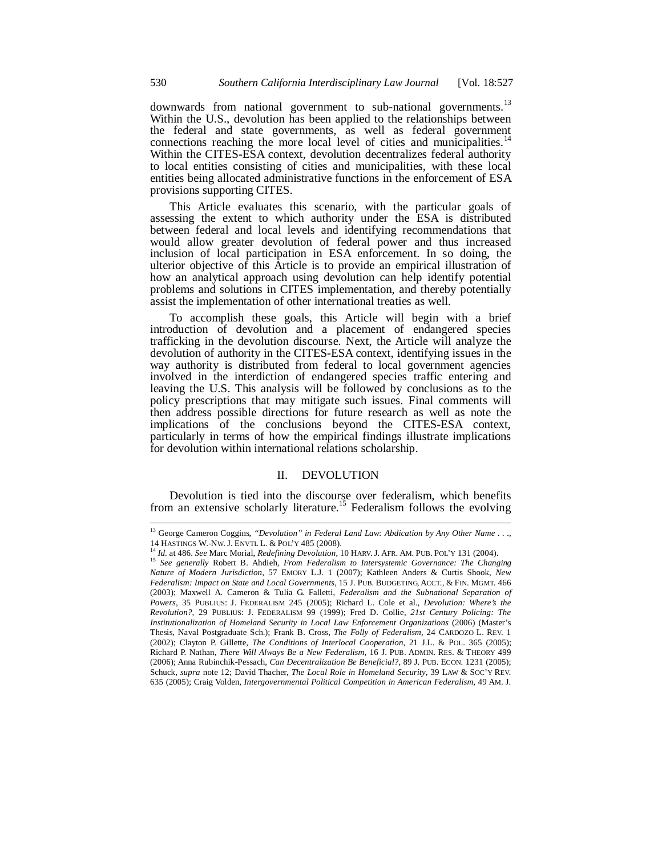downwards from national government to sub-national governments.<sup>13</sup> Within the U.S., devolution has been applied to the relationships between the federal and state governments, as well as federal government connections reaching the more local level of cities and municipalities.<sup>14</sup> Within the CITES-ESA context, devolution decentralizes federal authority to local entities consisting of cities and municipalities, with these local entities being allocated administrative functions in the enforcement of ESA provisions supporting CITES.

This Article evaluates this scenario, with the particular goals of assessing the extent to which authority under the ESA is distributed between federal and local levels and identifying recommendations that would allow greater devolution of federal power and thus increased inclusion of local participation in ESA enforcement. In so doing, the ulterior objective of this Article is to provide an empirical illustration of how an analytical approach using devolution can help identify potential problems and solutions in CITES implementation, and thereby potentially assist the implementation of other international treaties as well.

To accomplish these goals, this Article will begin with a brief introduction of devolution and a placement of endangered species trafficking in the devolution discourse. Next, the Article will analyze the devolution of authority in the CITES-ESA context, identifying issues in the way authority is distributed from federal to local government agencies involved in the interdiction of endangered species traffic entering and leaving the U.S. This analysis will be followed by conclusions as to the policy prescriptions that may mitigate such issues. Final comments will then address possible directions for future research as well as note the implications of the conclusions beyond the CITES-ESA context, particularly in terms of how the empirical findings illustrate implications for devolution within international relations scholarship.

## II. DEVOLUTION

Devolution is tied into the discourse over federalism, which benefits from an extensive scholarly literature.<sup>15</sup> Federalism follows the evolving

<sup>&</sup>lt;sup>13</sup> George Cameron Coggins, "Devolution" in Federal Land Law: Abdication by Any Other Name . . ., 14 HASTINGS W.-NW. J. ENVIL L. & POL'Y 485 (2008).<br><sup>14</sup> Id. at 486. See Marc Morial, *Redefining Devolution*, 10 HARV. J. AFR. AM. PUB. POL'Y 131 (2004).<br><sup>15</sup> See generally Robert B. Ahdieh, *From Federalism to Intersystem* 

*Nature of Modern Jurisdiction*, 57 EMORY L.J. 1 (2007); Kathleen Anders & Curtis Shook, *New Federalism: Impact on State and Local Governments*, 15 J. PUB. BUDGETING, ACCT., & FIN. MGMT. 466 (2003); Maxwell A. Cameron & Tulia G. Falletti, *Federalism and the Subnational Separation of Powers*, 35 PUBLIUS: J. FEDERALISM 245 (2005); Richard L. Cole et al., *Devolution: Where's the Revolution?*, 29 PUBLIUS: J. FEDERALISM 99 (1999); Fred D. Collie, *21st Century Policing: The Institutionalization of Homeland Security in Local Law Enforcement Organizations* (2006) (Master's Thesis, Naval Postgraduate Sch.); Frank B. Cross, *The Folly of Federalism*, 24 CARDOZO L. REV. 1 (2002); Clayton P. Gillette, *The Conditions of Interlocal Cooperation*, 21 J.L. & POL. 365 (2005); Richard P. Nathan, *There Will Always Be a New Federalism*, 16 J. PUB. ADMIN. RES. & THEORY 499 (2006); Anna Rubinchik-Pessach, *Can Decentralization Be Beneficial?*, 89 J. PUB. ECON. 1231 (2005); Schuck, *supra* note 12; David Thacher, *The Local Role in Homeland Security*, 39 LAW & SOC'Y REV. 635 (2005); Craig Volden, *Intergovernmental Political Competition in American Federalism*, 49 AM. J.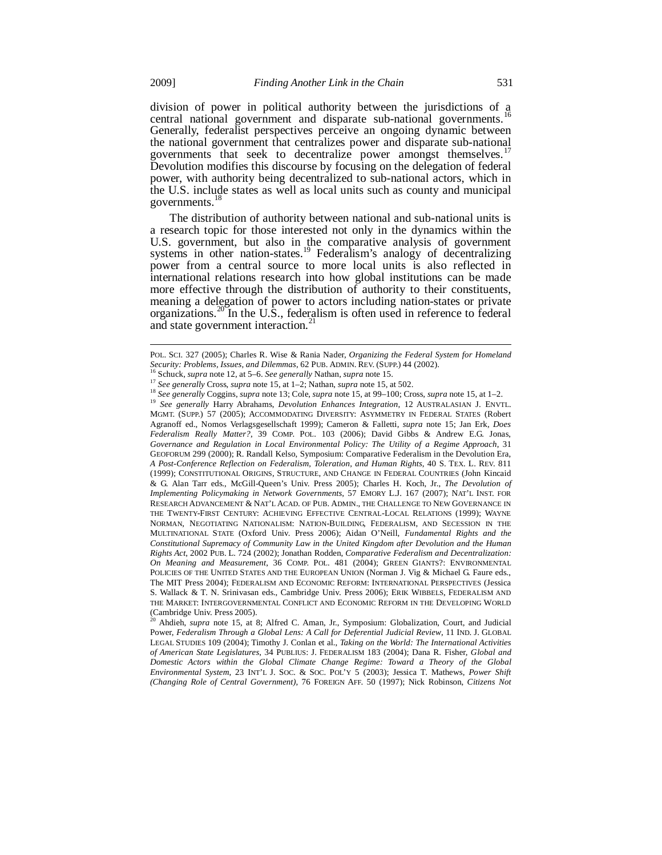division of power in political authority between the jurisdictions of a central national government and disparate sub-national governments.<sup>16</sup> Generally, federalist perspectives perceive an ongoing dynamic between the national government that centralizes power and disparate sub-national governments that seek to decentralize power amongst themselves.<sup>1</sup> Devolution modifies this discourse by focusing on the delegation of federal power, with authority being decentralized to sub-national actors, which in the U.S. include states as well as local units such as county and municipal governments.<sup>1</sup>

The distribution of authority between national and sub-national units is a research topic for those interested not only in the dynamics within the U.S. government, but also in the comparative analysis of government systems in other nation-states.<sup>19</sup> Federalism's analogy of decentralizing power from a central source to more local units is also reflected in international relations research into how global institutions can be made more effective through the distribution of authority to their constituents, meaning a delegation of power to actors including nation-states or private organizations.<sup>20</sup> In the U.S., federalism is often used in reference to federal and state government interaction.<sup>21</sup>

<sup>16</sup> Schuck, *supra* note 12, at 5–6. *See generally* Nathan, *supra* note 15.<br><sup>17</sup> *See generally* Cross, *supra* note 15, at 1–2; Nathan, *supra* note 15, at 502.<br><sup>18</sup> *See generally* Coggins, *supra* note 13; Cole, *su* MGMT. (SUPP.) 57 (2005); ACCOMMODATING DIVERSITY: ASYMMETRY IN FEDERAL STATES (Robert Agranoff ed., Nomos Verlagsgesellschaft 1999); Cameron & Falletti, *supra* note 15; Jan Erk, *Does Federalism Really Matter?*, 39 COMP. POL. 103 (2006); David Gibbs & Andrew E.G. Jonas, *Governance and Regulation in Local Environmental Policy: The Utility of a Regime Approach*, 31 GEOFORUM 299 (2000); R. Randall Kelso, Symposium: Comparative Federalism in the Devolution Era, *A Post-Conference Reflection on Federalism, Toleration, and Human Rights*, 40 S. TEX. L. REV. 811 (1999); CONSTITUTIONAL ORIGINS, STRUCTURE, AND CHANGE IN FEDERAL COUNTRIES (John Kincaid & G. Alan Tarr eds., McGill-Queen's Univ. Press 2005); Charles H. Koch, Jr., *The Devolution of Implementing Policymaking in Network Governments*, 57 EMORY L.J. 167 (2007); NAT'L INST. FOR RESEARCH ADVANCEMENT & NAT'L ACAD. OF PUB. ADMIN., THE CHALLENGE TO NEW GOVERNANCE IN THE TWENTY-FIRST CENTURY: ACHIEVING EFFECTIVE CENTRAL-LOCAL RELATIONS (1999); WAYNE NORMAN, NEGOTIATING NATIONALISM: NATION-BUILDING, FEDERALISM, AND SECESSION IN THE MULTINATIONAL STATE (Oxford Univ. Press 2006); Aidan O'Neill, *Fundamental Rights and the Constitutional Supremacy of Community Law in the United Kingdom after Devolution and the Human Rights Act*, 2002 PUB. L. 724 (2002); Jonathan Rodden, *Comparative Federalism and Decentralization: On Meaning and Measurement*, 36 COMP. POL. 481 (2004); GREEN GIANTS?: ENVIRONMENTAL POLICIES OF THE UNITED STATES AND THE EUROPEAN UNION (Norman J. Vig & Michael G. Faure eds., The MIT Press 2004); FEDERALISM AND ECONOMIC REFORM: INTERNATIONAL PERSPECTIVES (Jessica S. Wallack & T. N. Srinivasan eds., Cambridge Univ. Press 2006); ERIK WIBBELS, FEDERALISM AND THE MARKET: INTERGOVERNMENTAL CONFLICT AND ECONOMIC REFORM IN THE DEVELOPING WORLD (Cambridge Univ. Press 2005).

<sup>20</sup> Ahdieh, *supra* note 15, at 8; Alfred C. Aman, Jr., Symposium: Globalization, Court, and Judicial Power, *Federalism Through a Global Lens: A Call for Deferential Judicial Review*, 11 IND. J. GLOBAL LEGAL STUDIES 109 (2004); Timothy J. Conlan et al., *Taking on the World: The International Activities of American State Legislatures*, 34 PUBLIUS: J. FEDERALISM 183 (2004); Dana R. Fisher, *Global and Domestic Actors within the Global Climate Change Regime: Toward a Theory of the Global Environmental System*, 23 INT'L J. SOC. & SOC. POL'Y 5 (2003); Jessica T. Mathews, *Power Shift (Changing Role of Central Government)*, 76 FOREIGN AFF. 50 (1997); Nick Robinson, *Citizens Not* 

POL. SCI. 327 (2005); Charles R. Wise & Rania Nader, *Organizing the Federal System for Homeland*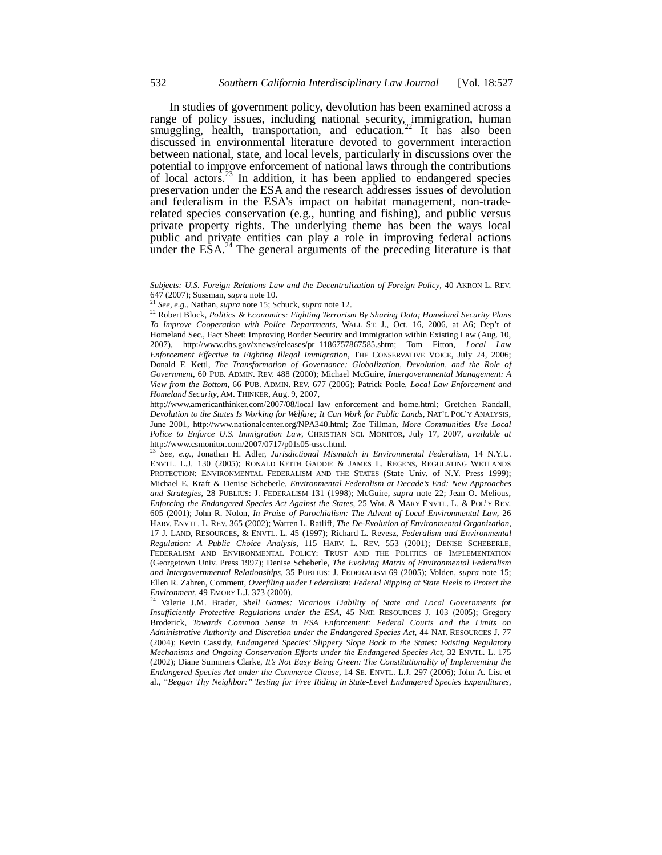In studies of government policy, devolution has been examined across a range of policy issues, including national security, immigration, human smuggling, health, transportation, and education.<sup>22</sup> It has also been discussed in environmental literature devoted to government interaction between national, state, and local levels, particularly in discussions over the potential to improve enforcement of national laws through the contributions of local actors.<sup>23</sup> In addition, it has been applied to endangered species preservation under the ESA and the research addresses issues of devolution and federalism in the ESA's impact on habitat management, non-traderelated species conservation (e.g., hunting and fishing), and public versus private property rights. The underlying theme has been the ways local public and private entities can play a role in improving federal actions under the  $E\hat{S}A$ <sup>24</sup>. The general arguments of the preceding literature is that

*Subjects: U.S. Foreign Relations Law and the Decentralization of Foreign Policy*, 40 AKRON L. REV. 647 (2007); Sussman, *supra* note 10.<br><sup>21</sup> *See*, *e.g.*, Nathan, *supra* note 15; Schuck, *supra* note 12.

<sup>&</sup>lt;sup>22</sup> Robert Block, Politics & Economics: Fighting Terrorism By Sharing Data; Homeland Security Plans *To Improve Cooperation with Police Departments*, WALL ST. J., Oct. 16, 2006, at A6; Dep't of Homeland Sec., Fact Sheet: Improving Border Security and Immigration within Existing Law (Aug. 10, 2007), http://www.dhs.gov/xnews/releases/pr\_1186757867585.shtm; Tom Fitton, *Local Law Enforcement Effective in Fighting Illegal Immigration*, THE CONSERVATIVE VOICE, July 24, 2006; Donald F. Kettl, *The Transformation of Governance: Globalization, Devolution, and the Role of Government*, 60 PUB. ADMIN. REV. 488 (2000); Michael McGuire, *Intergovernmental Management: A View from the Bottom*, 66 PUB. ADMIN. REV. 677 (2006); Patrick Poole, *Local Law Enforcement and Homeland Security*, AM. THINKER, Aug. 9, 2007,

http://www.americanthinker.com/2007/08/local\_law\_enforcement\_and\_home.html; Gretchen Randall, *Devolution to the States Is Working for Welfare; It Can Work for Public Lands*, NAT'L POL'Y ANALYSIS, June 2001, http://www.nationalcenter.org/NPA340.html; Zoe Tillman, *More Communities Use Local Police to Enforce U.S. Immigration Law*, CHRISTIAN SCI. MONITOR, July 17, 2007, *available at* http://www.csmonitor.com/2007/0717/p01s05-ussc.html.

<sup>23</sup> *See, e.g.*, Jonathan H. Adler, *Jurisdictional Mismatch in Environmental Federalism*, 14 N.Y.U. ENVTL. L.J. 130 (2005); RONALD KEITH GADDIE & JAMES L. REGENS, REGULATING WETLANDS PROTECTION: ENVIRONMENTAL FEDERALISM AND THE STATES (State Univ. of N.Y. Press 1999); Michael E. Kraft & Denise Scheberle, *Environmental Federalism at Decade's End: New Approaches and Strategies*, 28 PUBLIUS: J. FEDERALISM 131 (1998); McGuire, *supra* note 22; Jean O. Melious, *Enforcing the Endangered Species Act Against the States*, 25 WM. & MARY ENVTL. L. & POL'Y REV. 605 (2001); John R. Nolon, *In Praise of Parochialism: The Advent of Local Environmental Law*, 26 HARV. ENVTL. L. REV. 365 (2002); Warren L. Ratliff, *The De-Evolution of Environmental Organization*, 17 J. LAND, RESOURCES, & ENVTL. L. 45 (1997); Richard L. Revesz, *Federalism and Environmental Regulation: A Public Choice Analysis*, 115 HARV. L. REV. 553 (2001); DENISE SCHEBERLE, FEDERALISM AND ENVIRONMENTAL POLICY: TRUST AND THE POLITICS OF IMPLEMENTATION (Georgetown Univ. Press 1997); Denise Scheberle, *The Evolving Matrix of Environmental Federalism and Intergovernmental Relationships*, 35 PUBLIUS: J. FEDERALISM 69 (2005); Volden, *supra* note 15; Ellen R. Zahren, Comment, *Overfiling under Federalism: Federal Nipping at State Heels to Protect the* 

<sup>&</sup>lt;sup>24</sup> Valerie J.M. Brader, *Shell Games: Vicarious Liability of State and Local Governments for Insufficiently Protective Regulations under the ESA*, 45 NAT. RESOURCES J. 103 (2005); Gregory Broderick, *Towards Common Sense in ESA Enforcement: Federal Courts and the Limits on Administrative Authority and Discretion under the Endangered Species Act*, 44 NAT. RESOURCES J. 77 (2004); Kevin Cassidy, *Endangered Species' Slippery Slope Back to the States: Existing Regulatory Mechanisms and Ongoing Conservation Efforts under the Endangered Species Act*, 32 ENVTL. L. 175 (2002); Diane Summers Clarke, *It's Not Easy Being Green: The Constitutionality of Implementing the Endangered Species Act under the Commerce Clause*, 14 SE. ENVTL. L.J. 297 (2006); John A. List et al., *"Beggar Thy Neighbor:" Testing for Free Riding in State-Level Endangered Species Expenditures*,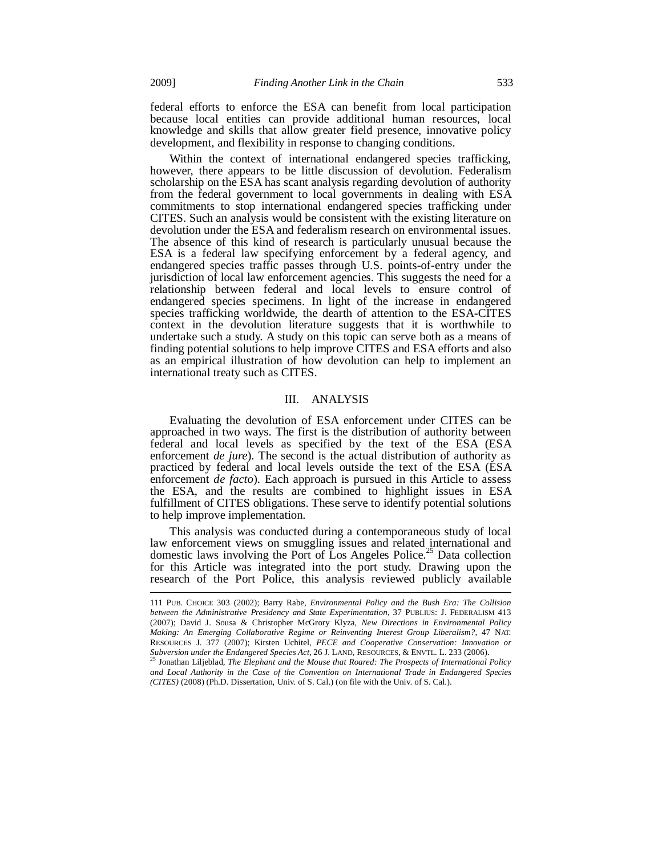federal efforts to enforce the ESA can benefit from local participation because local entities can provide additional human resources, local knowledge and skills that allow greater field presence, innovative policy development, and flexibility in response to changing conditions.

Within the context of international endangered species trafficking, however, there appears to be little discussion of devolution. Federalism scholarship on the ESA has scant analysis regarding devolution of authority from the federal government to local governments in dealing with ESA commitments to stop international endangered species trafficking under CITES. Such an analysis would be consistent with the existing literature on devolution under the ESA and federalism research on environmental issues. The absence of this kind of research is particularly unusual because the ESA is a federal law specifying enforcement by a federal agency, and endangered species traffic passes through U.S. points-of-entry under the jurisdiction of local law enforcement agencies. This suggests the need for a relationship between federal and local levels to ensure control of endangered species specimens. In light of the increase in endangered species trafficking worldwide, the dearth of attention to the ESA-CITES context in the devolution literature suggests that it is worthwhile to undertake such a study. A study on this topic can serve both as a means of finding potential solutions to help improve CITES and ESA efforts and also as an empirical illustration of how devolution can help to implement an international treaty such as CITES.

## III. ANALYSIS

Evaluating the devolution of ESA enforcement under CITES can be approached in two ways. The first is the distribution of authority between federal and local levels as specified by the text of the ESA (ESA enforcement *de jure*). The second is the actual distribution of authority as practiced by federal and local levels outside the text of the ESA (ESA enforcement *de facto*). Each approach is pursued in this Article to assess the ESA, and the results are combined to highlight issues in ESA fulfillment of CITES obligations. These serve to identify potential solutions to help improve implementation.

This analysis was conducted during a contemporaneous study of local law enforcement views on smuggling issues and related international and domestic laws involving the Port of Los Angeles Police.<sup>25</sup> Data collection for this Article was integrated into the port study. Drawing upon the research of the Port Police, this analysis reviewed publicly available

<sup>111</sup> PUB. CHOICE 303 (2002); Barry Rabe, *Environmental Policy and the Bush Era: The Collision between the Administrative Presidency and State Experimentation*, 37 PUBLIUS: J. FEDERALISM 413 (2007); David J. Sousa & Christopher McGrory Klyza, *New Directions in Environmental Policy Making: An Emerging Collaborative Regime or Reinventing Interest Group Liberalism?*, 47 NAT. RESOURCES J. 377 (2007); Kirsten Uchitel, *PECE and Cooperative Conservation: Innovation or* 

<sup>&</sup>lt;sup>25</sup> Jonathan Liljeblad, *The Elephant and the Mouse that Roared: The Prospects of International Policy and Local Authority in the Case of the Convention on International Trade in Endangered Species (CITES)* (2008) (Ph.D. Dissertation, Univ. of S. Cal.) (on file with the Univ. of S. Cal.).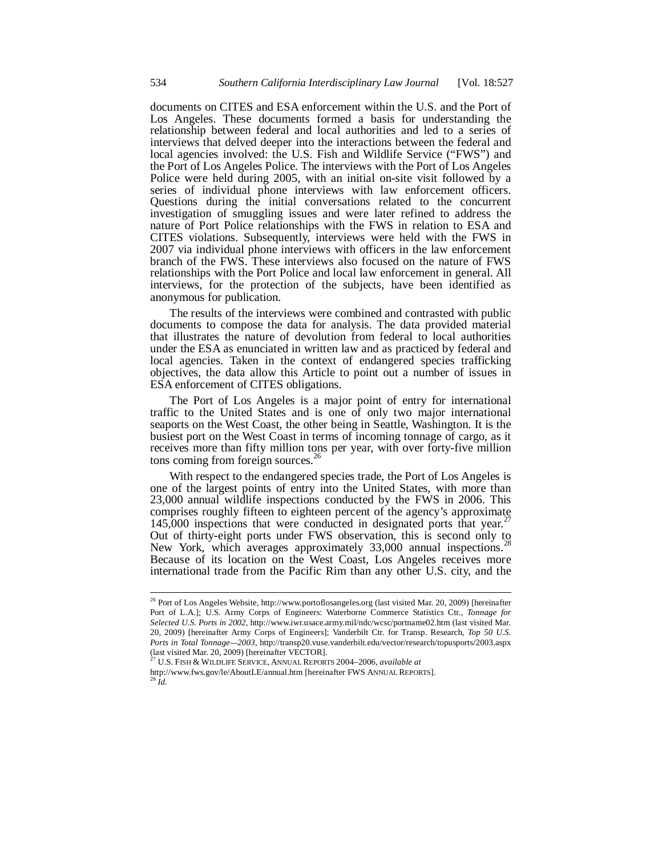documents on CITES and ESA enforcement within the U.S. and the Port of Los Angeles. These documents formed a basis for understanding the relationship between federal and local authorities and led to a series of interviews that delved deeper into the interactions between the federal and local agencies involved: the U.S. Fish and Wildlife Service ("FWS") and the Port of Los Angeles Police. The interviews with the Port of Los Angeles Police were held during 2005, with an initial on-site visit followed by a series of individual phone interviews with law enforcement officers. Questions during the initial conversations related to the concurrent investigation of smuggling issues and were later refined to address the nature of Port Police relationships with the FWS in relation to ESA and CITES violations. Subsequently, interviews were held with the FWS in 2007 via individual phone interviews with officers in the law enforcement branch of the FWS. These interviews also focused on the nature of FWS relationships with the Port Police and local law enforcement in general. All interviews, for the protection of the subjects, have been identified as anonymous for publication.

The results of the interviews were combined and contrasted with public documents to compose the data for analysis. The data provided material that illustrates the nature of devolution from federal to local authorities under the ESA as enunciated in written law and as practiced by federal and local agencies. Taken in the context of endangered species trafficking objectives, the data allow this Article to point out a number of issues in ESA enforcement of CITES obligations.

The Port of Los Angeles is a major point of entry for international traffic to the United States and is one of only two major international seaports on the West Coast, the other being in Seattle, Washington. It is the busiest port on the West Coast in terms of incoming tonnage of cargo, as it receives more than fifty million tons per year, with over forty-five million tons coming from foreign sources.<sup>26</sup>

With respect to the endangered species trade, the Port of Los Angeles is one of the largest points of entry into the United States, with more than 23,000 annual wildlife inspections conducted by the FWS in 2006. This comprises roughly fifteen to eighteen percent of the agency's approximate 145,000 inspections that were conducted in designated ports that year.<sup>27</sup> Out of thirty-eight ports under FWS observation, this is second only to New York, which averages approximately 33,000 annual inspections.<sup>2</sup> Because of its location on the West Coast, Los Angeles receives more international trade from the Pacific Rim than any other U.S. city, and the

27 U.S. FISH & WILDLIFE SERVICE, ANNUAL REPORTS 2004–2006, *available at* http://www.fws.gov/le/AboutLE/annual.htm [hereinafter FWS ANNUAL REPORTS]. 28 *Id.*

<sup>&</sup>lt;sup>26</sup> Port of Los Angeles Website, http://www.portoflosangeles.org (last visited Mar. 20, 2009) [hereinafter Port of L.A.]; U.S. Army Corps of Engineers: Waterborne Commerce Statistics Ctr., *Tonnage for Selected U.S. Ports in 2002*, http://www.iwr.usace.army.mil/ndc/wcsc/portname02.htm (last visited Mar. 20, 2009) [hereinafter Army Corps of Engineers]; Vanderbilt Ctr. for Transp. Research, *Top 50 U.S. Ports in Total Tonnage—2003*, http://transp20.vuse.vanderbilt.edu/vector/research/topusports/2003.aspx (last visited Mar. 20, 2009) [hereinafter VECTOR].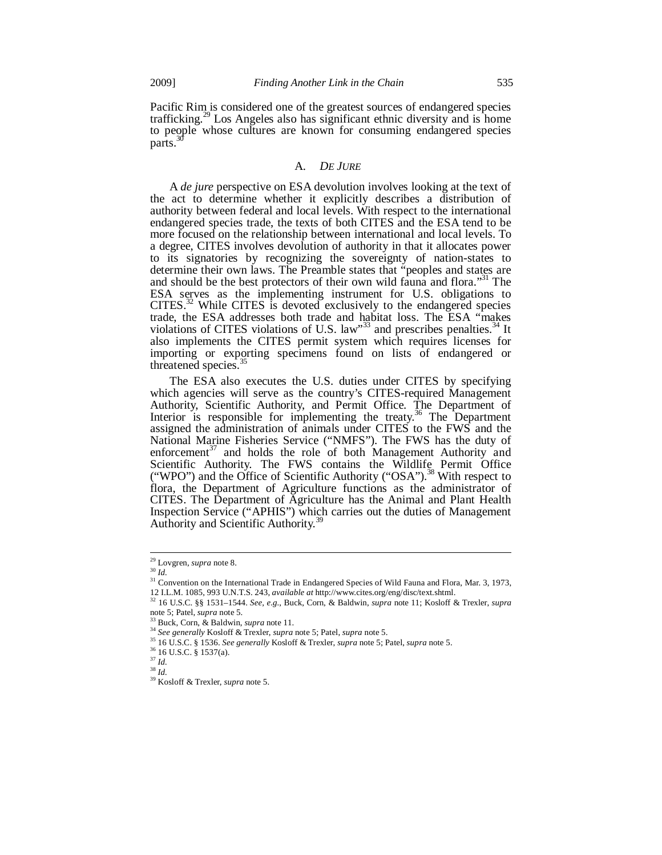Pacific Rim is considered one of the greatest sources of endangered species trafficking.29 Los Angeles also has significant ethnic diversity and is home to people whose cultures are known for consuming endangered species parts.<sup>3</sup>

## A. *DE JURE*

A *de jure* perspective on ESA devolution involves looking at the text of the act to determine whether it explicitly describes a distribution of authority between federal and local levels. With respect to the international endangered species trade, the texts of both CITES and the ESA tend to be more focused on the relationship between international and local levels. To a degree, CITES involves devolution of authority in that it allocates power to its signatories by recognizing the sovereignty of nation-states to determine their own laws. The Preamble states that "peoples and states are and should be the best protectors of their own wild fauna and flora.<sup>331</sup> The ESA serves as the implementing instrument for U.S. obligations to  $CITES<sup>32</sup>$  While CITES is devoted exclusively to the endangered species trade, the ESA addresses both trade and habitat loss. The ESA "makes violations of CITES violations of U.S. law"<sup>33</sup> and prescribes penalties.<sup>34</sup> It also implements the CITES permit system which requires licenses for importing or exporting specimens found on lists of endangered or threatened species.<sup>3</sup>

The ESA also executes the U.S. duties under CITES by specifying which agencies will serve as the country's CITES-required Management Authority, Scientific Authority, and Permit Office. The Department of Interior is responsible for implementing the treaty.<sup>36</sup> The Department assigned the administration of animals under CITES to the FWS and the National Marine Fisheries Service ("NMFS"). The FWS has the duty of enforcement<sup>37</sup> and holds the role of both Management Authority and Scientific Authority. The FWS contains the Wildlife Permit Office ("WPO") and the Office of Scientific Authority ("OSA").<sup>38</sup> With respect to flora, the Department of Agriculture functions as the administrator of CITES. The Department of Agriculture has the Animal and Plant Health Inspection Service ("APHIS") which carries out the duties of Management Authority and Scientific Authority.<sup>39</sup>

j

<sup>29</sup> Lovgren, *supra* note 8. 30 *Id.*

 $\frac{30}{10}$  *Id.*<br> $\frac{31}{10}$  Convention on the International Trade in Endangered Species of Wild Fauna and Flora, Mar. 3, 1973,

<sup>12</sup> I.L.M. 1085, 993 U.N.T.S. 243, *available at* http://www.cites.org/eng/disc/text.shtml. 32 16 U.S.C. §§ 1531–1544. *See, e.g.*, Buck, Corn, & Baldwin, *supra* note 11; Kosloff & Trexler, *supra*

<sup>&</sup>lt;sup>33</sup> Buck, Corn, & Baldwin, *supra* note 11.<br><sup>34</sup> See generally Kosloff & Trexler, *supra* note 5; Patel, *supra* note 5.<br><sup>35</sup> 16 U.S.C. § 1536. See generally Kosloff & Trexler, *supra* note 5; Patel, *supra* note 5.<br><sup>36</sup>

<sup>37</sup> *Id.* 38 *Id.*

<sup>39</sup> Kosloff & Trexler, *supra* note 5.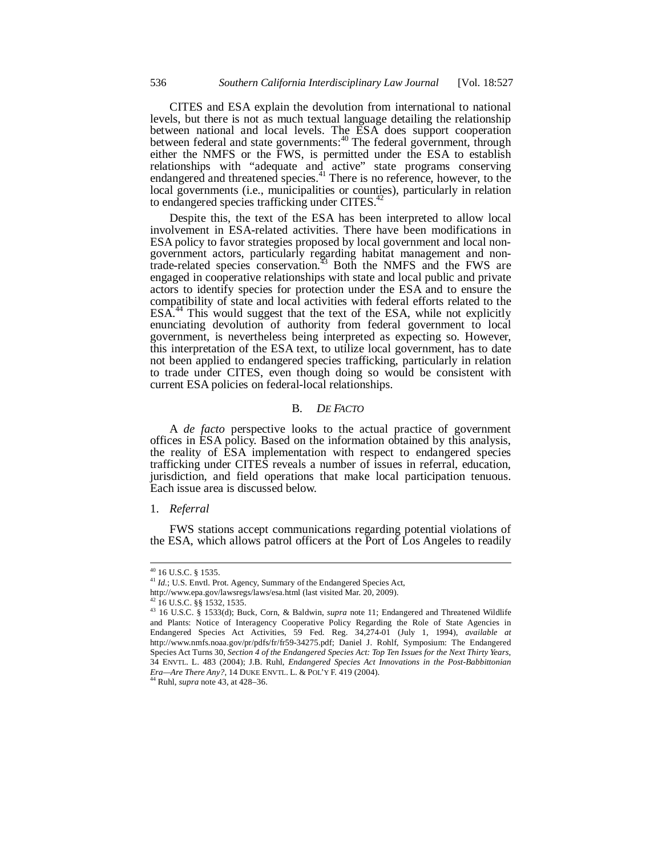CITES and ESA explain the devolution from international to national levels, but there is not as much textual language detailing the relationship between national and local levels. The ESA does support cooperation between federal and state governments:<sup>40</sup> The federal government, through either the NMFS or the FWS, is permitted under the ESA to establish relationships with "adequate and active" state programs conserving endangered and threatened species.<sup>41</sup> There is no reference, however, to the local governments (i.e., municipalities or counties), particularly in relation to endangered species trafficking under CITES. $42$ 

Despite this, the text of the ESA has been interpreted to allow local involvement in ESA-related activities. There have been modifications in ESA policy to favor strategies proposed by local government and local nongovernment actors, particularly regarding habitat management and nontrade-related species conservation.<sup>43</sup> Both the NMFS and the FWS are engaged in cooperative relationships with state and local public and private actors to identify species for protection under the ESA and to ensure the compatibility of state and local activities with federal efforts related to the ESA.<sup>44</sup> This would suggest that the text of the ESA, while not explicitly enunciating devolution of authority from federal government to local government, is nevertheless being interpreted as expecting so. However, this interpretation of the ESA text, to utilize local government, has to date not been applied to endangered species trafficking, particularly in relation to trade under CITES, even though doing so would be consistent with current ESA policies on federal-local relationships.

## B. *DE FACTO*

A *de facto* perspective looks to the actual practice of government offices in ESA policy. Based on the information obtained by this analysis, the reality of ESA implementation with respect to endangered species trafficking under CITES reveals a number of issues in referral, education, jurisdiction, and field operations that make local participation tenuous. Each issue area is discussed below.

#### 1. *Referral*

FWS stations accept communications regarding potential violations of the ESA, which allows patrol officers at the Port of Los Angeles to readily

 $^{40}$  16 U.S.C. § 1535.

<sup>&</sup>lt;sup>41</sup> *Id.*; U.S. Envtl. Prot. Agency, Summary of the Endangered Species Act,

http://www.epa.gov/lawsregs/laws/esa.html (last visited Mar. 20, 2009).

<sup>42 16</sup> U.S.C. §§ 1532, 1535.

<sup>43 16</sup> U.S.C. § 1533(d); Buck, Corn, & Baldwin, *supra* note 11; Endangered and Threatened Wildlife and Plants: Notice of Interagency Cooperative Policy Regarding the Role of State Agencies in Endangered Species Act Activities, 59 Fed. Reg. 34,274-01 (July 1, 1994), *available at*  http://www.nmfs.noaa.gov/pr/pdfs/fr/fr59-34275.pdf; Daniel J. Rohlf, Symposium: The Endangered Species Act Turns 30, *Section 4 of the Endangered Species Act: Top Ten Issues for the Next Thirty Years*, 34 ENVTL. L. 483 (2004); J.B. Ruhl, *Endangered Species Act Innovations in the Post-Babbittonian Era—Are There Any?*, 14 DUKE ENVTL. L. & POL'Y F. 419 (2004). 44 Ruhl, *supra* note 43, at 428–36.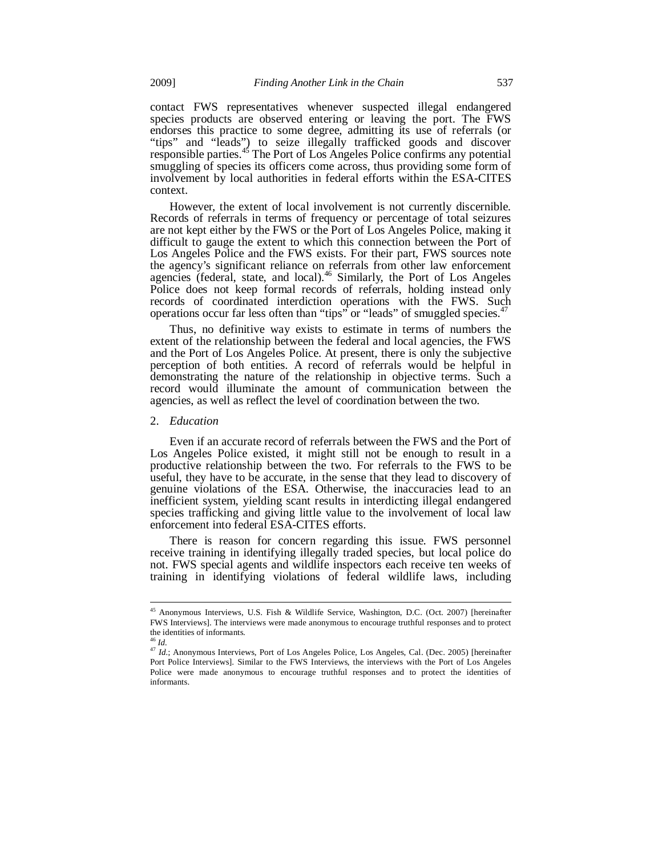contact FWS representatives whenever suspected illegal endangered species products are observed entering or leaving the port. The FWS endorses this practice to some degree, admitting its use of referrals (or "tips" and "leads") to seize illegally trafficked goods and discover responsible parties.<sup>45</sup> The Port of Los Angeles Police confirms any potential smuggling of species its officers come across, thus providing some form of involvement by local authorities in federal efforts within the ESA-CITES context.

However, the extent of local involvement is not currently discernible. Records of referrals in terms of frequency or percentage of total seizures are not kept either by the FWS or the Port of Los Angeles Police, making it difficult to gauge the extent to which this connection between the Port of Los Angeles Police and the FWS exists. For their part, FWS sources note the agency's significant reliance on referrals from other law enforcement agencies (federal, state, and local).<sup>46</sup> Similarly, the Port of Los Angeles Police does not keep formal records of referrals, holding instead only records of coordinated interdiction operations with the FWS. Such operations occur far less often than "tips" or "leads" of smuggled species.<sup>47</sup>

Thus, no definitive way exists to estimate in terms of numbers the extent of the relationship between the federal and local agencies, the FWS and the Port of Los Angeles Police. At present, there is only the subjective perception of both entities. A record of referrals would be helpful in demonstrating the nature of the relationship in objective terms. Such a record would illuminate the amount of communication between the agencies, as well as reflect the level of coordination between the two.

#### 2. *Education*

Even if an accurate record of referrals between the FWS and the Port of Los Angeles Police existed, it might still not be enough to result in a productive relationship between the two. For referrals to the FWS to be useful, they have to be accurate, in the sense that they lead to discovery of genuine violations of the ESA. Otherwise, the inaccuracies lead to an inefficient system, yielding scant results in interdicting illegal endangered species trafficking and giving little value to the involvement of local law enforcement into federal ESA-CITES efforts.

There is reason for concern regarding this issue. FWS personnel receive training in identifying illegally traded species, but local police do not. FWS special agents and wildlife inspectors each receive ten weeks of training in identifying violations of federal wildlife laws, including

<sup>&</sup>lt;sup>45</sup> Anonymous Interviews, U.S. Fish & Wildlife Service, Washington, D.C. (Oct. 2007) [hereinafter FWS Interviews]. The interviews were made anonymous to encourage truthful responses and to protect the identities of informants.<br> $46$  *Id.* 

<sup>&</sup>lt;sup>47</sup> *Id.*; Anonymous Interviews, Port of Los Angeles Police, Los Angeles, Cal. (Dec. 2005) [hereinafter Port Police Interviews]. Similar to the FWS Interviews, the interviews with the Port of Los Angeles Police were made anonymous to encourage truthful responses and to protect the identities of informants.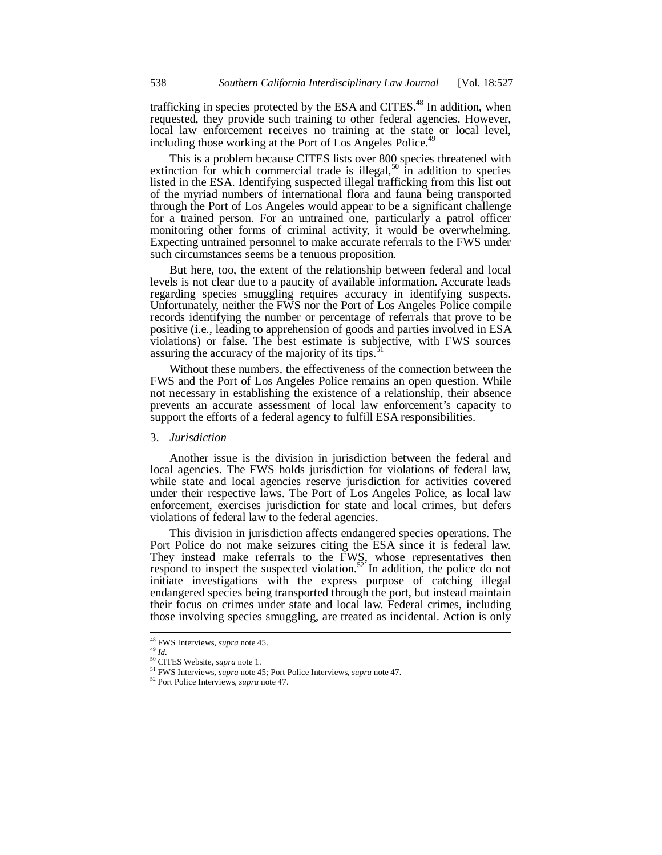trafficking in species protected by the ESA and CITES.<sup>48</sup> In addition, when requested, they provide such training to other federal agencies. However, local law enforcement receives no training at the state or local level, including those working at the Port of Los Angeles Police.<sup>4</sup>

This is a problem because CITES lists over 800 species threatened with extinction for which commercial trade is illegal,<sup>50</sup> in addition to species listed in the ESA. Identifying suspected illegal trafficking from this list out of the myriad numbers of international flora and fauna being transported through the Port of Los Angeles would appear to be a significant challenge for a trained person. For an untrained one, particularly a patrol officer monitoring other forms of criminal activity, it would be overwhelming. Expecting untrained personnel to make accurate referrals to the FWS under such circumstances seems be a tenuous proposition.

But here, too, the extent of the relationship between federal and local levels is not clear due to a paucity of available information. Accurate leads regarding species smuggling requires accuracy in identifying suspects. Unfortunately, neither the FWS nor the Port of Los Angeles Police compile records identifying the number or percentage of referrals that prove to be positive (i.e., leading to apprehension of goods and parties involved in ESA violations) or false. The best estimate is subjective, with FWS sources assuring the accuracy of the majority of its tips. $\frac{1}{2}$ 

Without these numbers, the effectiveness of the connection between the FWS and the Port of Los Angeles Police remains an open question. While not necessary in establishing the existence of a relationship, their absence prevents an accurate assessment of local law enforcement's capacity to support the efforts of a federal agency to fulfill ESA responsibilities.

## 3. *Jurisdiction*

Another issue is the division in jurisdiction between the federal and local agencies. The FWS holds jurisdiction for violations of federal law, while state and local agencies reserve jurisdiction for activities covered under their respective laws. The Port of Los Angeles Police, as local law enforcement, exercises jurisdiction for state and local crimes, but defers violations of federal law to the federal agencies.

This division in jurisdiction affects endangered species operations. The Port Police do not make seizures citing the ESA since it is federal law. They instead make referrals to the FWS, whose representatives then respond to inspect the suspected violation.<sup>52</sup> In addition, the police do not initiate investigations with the express purpose of catching illegal endangered species being transported through the port, but instead maintain their focus on crimes under state and local law. Federal crimes, including those involving species smuggling, are treated as incidental. Action is only

<sup>&</sup>lt;sup>48</sup> FWS Interviews, *supra* note 45.

<sup>&</sup>lt;sup>49</sup> Id.<br><sup>50</sup> CITES Website, *supra* note 1.<br><sup>51</sup> FWS Interviews, *supra* note 45; Port Police Interviews, *supra* note 47.<br><sup>52</sup> Port Police Interviews, *supra* note 47.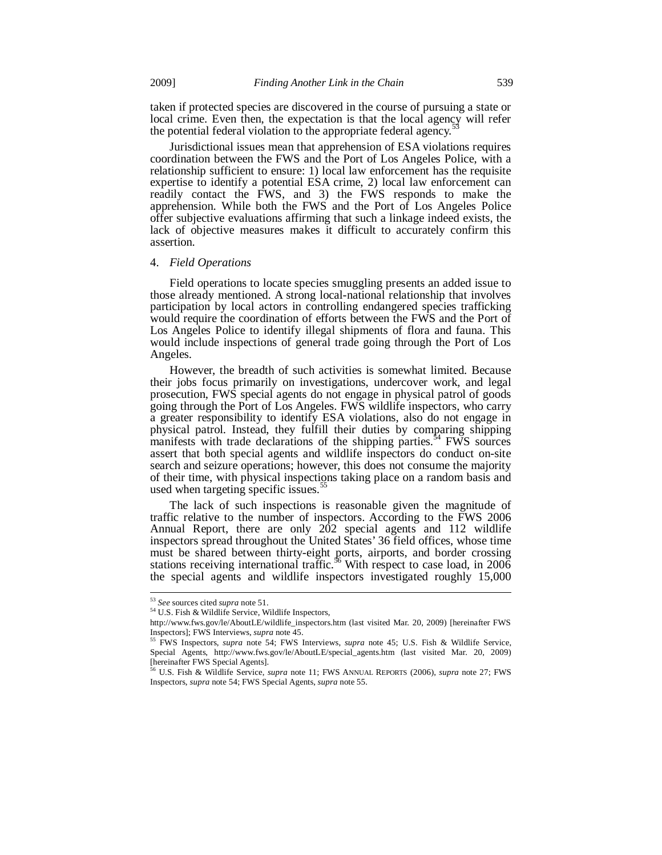taken if protected species are discovered in the course of pursuing a state or local crime. Even then, the expectation is that the local agency will refer the potential federal violation to the appropriate federal agency.

Jurisdictional issues mean that apprehension of ESA violations requires coordination between the FWS and the Port of Los Angeles Police, with a relationship sufficient to ensure: 1) local law enforcement has the requisite expertise to identify a potential ESA crime, 2) local law enforcement can readily contact the FWS, and 3) the FWS responds to make the apprehension. While both the FWS and the Port of Los Angeles Police offer subjective evaluations affirming that such a linkage indeed exists, the lack of objective measures makes it difficult to accurately confirm this assertion.

#### 4. *Field Operations*

Field operations to locate species smuggling presents an added issue to those already mentioned. A strong local-national relationship that involves participation by local actors in controlling endangered species trafficking would require the coordination of efforts between the FWS and the Port of Los Angeles Police to identify illegal shipments of flora and fauna. This would include inspections of general trade going through the Port of Los Angeles.

However, the breadth of such activities is somewhat limited. Because their jobs focus primarily on investigations, undercover work, and legal prosecution, FWS special agents do not engage in physical patrol of goods going through the Port of Los Angeles. FWS wildlife inspectors, who carry a greater responsibility to identify ESA violations, also do not engage in physical patrol. Instead, they fulfill their duties by comparing shipping manifests with trade declarations of the shipping parties.<sup>54</sup> FWS sources assert that both special agents and wildlife inspectors do conduct on-site search and seizure operations; however, this does not consume the majority of their time, with physical inspections taking place on a random basis and used when targeting specific issues.<sup>55</sup>

The lack of such inspections is reasonable given the magnitude of traffic relative to the number of inspectors. According to the FWS 2006 Annual Report, there are only 202 special agents and 112 wildlife inspectors spread throughout the United States' 36 field offices, whose time must be shared between thirty-eight ports, airports, and border crossing stations receiving international traffic.<sup>56</sup> With respect to case load, in 2006 the special agents and wildlife inspectors investigated roughly 15,000

<sup>&</sup>lt;sup>53</sup> See sources cited supra note 51.

<sup>&</sup>lt;sup>54</sup> U.S. Fish & Wildlife Service, Wildlife Inspectors,

http://www.fws.gov/le/AboutLE/wildlife\_inspectors.htm (last visited Mar. 20, 2009) [hereinafter FWS Inspectors]; FWS Interviews, *supra* note 45.<br><sup>55</sup> FWS Inspectors, *supra* note 54; FWS Interviews, *supra* note 45; U.S. Fish & Wildlife Service,

Special Agents, http://www.fws.gov/le/AboutLE/special\_agents.htm (last visited Mar. 20, 2009) [hereinafter FWS Special Agents]. 56 U.S. Fish & Wildlife Service, *supra* note 11; FWS ANNUAL REPORTS (2006), *supra* note 27; FWS

Inspectors, *supra* note 54; FWS Special Agents, *supra* note 55.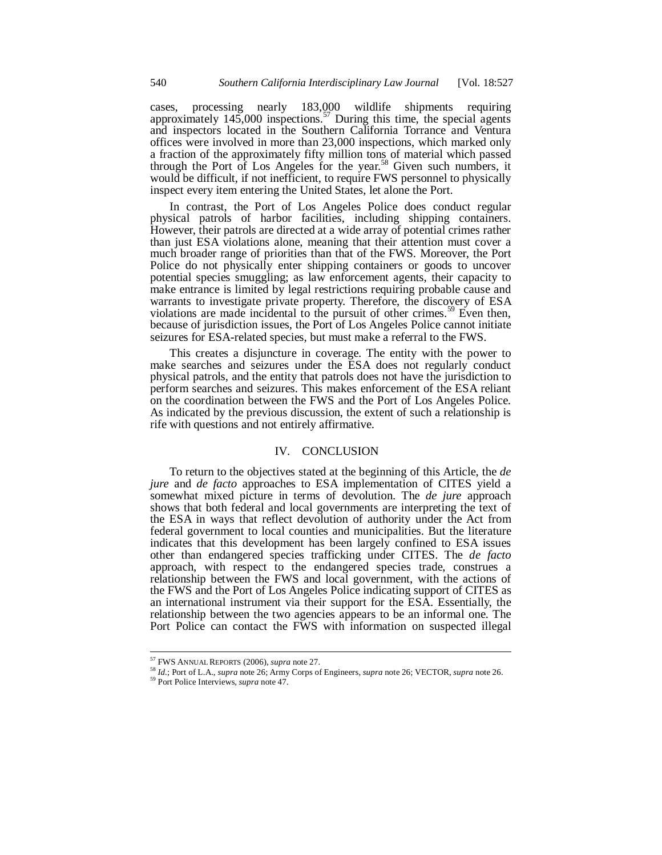cases, processing nearly 183,000 wildlife shipments requiring approximately 145,000 inspections.<sup>57</sup> During this time, the special agents and inspectors located in the Southern California Torrance and Ventura offices were involved in more than 23,000 inspections, which marked only a fraction of the approximately fifty million tons of material which passed through the Port of Los Angeles for the year.<sup>58</sup> Given such numbers, it would be difficult, if not inefficient, to require FWS personnel to physically inspect every item entering the United States, let alone the Port.

In contrast, the Port of Los Angeles Police does conduct regular physical patrols of harbor facilities, including shipping containers. However, their patrols are directed at a wide array of potential crimes rather than just ESA violations alone, meaning that their attention must cover a much broader range of priorities than that of the FWS. Moreover, the Port Police do not physically enter shipping containers or goods to uncover potential species smuggling; as law enforcement agents, their capacity to make entrance is limited by legal restrictions requiring probable cause and warrants to investigate private property. Therefore, the discovery of ESA violations are made incidental to the pursuit of other crimes.<sup>59</sup> Even then, because of jurisdiction issues, the Port of Los Angeles Police cannot initiate seizures for ESA-related species, but must make a referral to the FWS.

This creates a disjuncture in coverage. The entity with the power to make searches and seizures under the ESA does not regularly conduct physical patrols, and the entity that patrols does not have the jurisdiction to perform searches and seizures. This makes enforcement of the ESA reliant on the coordination between the FWS and the Port of Los Angeles Police. As indicated by the previous discussion, the extent of such a relationship is rife with questions and not entirely affirmative.

## IV. CONCLUSION

To return to the objectives stated at the beginning of this Article, the *de jure* and *de facto* approaches to ESA implementation of CITES yield a somewhat mixed picture in terms of devolution. The *de jure* approach shows that both federal and local governments are interpreting the text of the ESA in ways that reflect devolution of authority under the Act from federal government to local counties and municipalities. But the literature indicates that this development has been largely confined to ESA issues other than endangered species trafficking under CITES. The *de facto* approach, with respect to the endangered species trade, construes a relationship between the FWS and local government, with the actions of the FWS and the Port of Los Angeles Police indicating support of CITES as an international instrument via their support for the ESA. Essentially, the relationship between the two agencies appears to be an informal one. The Port Police can contact the FWS with information on suspected illegal

<sup>&</sup>lt;sup>57</sup> FWS ANNUAL REPORTS (2006), *supra* note 27.

<sup>&</sup>lt;sup>58</sup> *Id.*; Port of L.A., *supra* note 26; Army Corps of Engineers, *supra* note 26; VECTOR, *supra* note 26. <sup>59</sup> Port Police Interviews, *supra* note 47.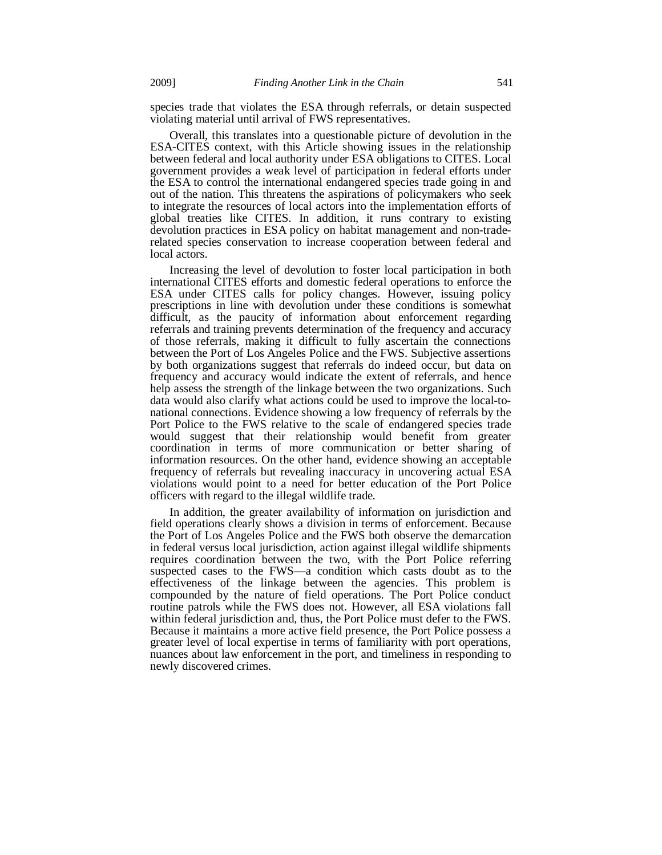species trade that violates the ESA through referrals, or detain suspected violating material until arrival of FWS representatives.

Overall, this translates into a questionable picture of devolution in the ESA-CITES context, with this Article showing issues in the relationship between federal and local authority under ESA obligations to CITES. Local government provides a weak level of participation in federal efforts under the ESA to control the international endangered species trade going in and out of the nation. This threatens the aspirations of policymakers who seek to integrate the resources of local actors into the implementation efforts of global treaties like CITES. In addition, it runs contrary to existing devolution practices in ESA policy on habitat management and non-traderelated species conservation to increase cooperation between federal and local actors.

Increasing the level of devolution to foster local participation in both international CITES efforts and domestic federal operations to enforce the ESA under CITES calls for policy changes. However, issuing policy prescriptions in line with devolution under these conditions is somewhat difficult, as the paucity of information about enforcement regarding referrals and training prevents determination of the frequency and accuracy of those referrals, making it difficult to fully ascertain the connections between the Port of Los Angeles Police and the FWS. Subjective assertions by both organizations suggest that referrals do indeed occur, but data on frequency and accuracy would indicate the extent of referrals, and hence help assess the strength of the linkage between the two organizations. Such data would also clarify what actions could be used to improve the local-tonational connections. Evidence showing a low frequency of referrals by the Port Police to the FWS relative to the scale of endangered species trade would suggest that their relationship would benefit from greater coordination in terms of more communication or better sharing of information resources. On the other hand, evidence showing an acceptable frequency of referrals but revealing inaccuracy in uncovering actual ESA violations would point to a need for better education of the Port Police officers with regard to the illegal wildlife trade.

In addition, the greater availability of information on jurisdiction and field operations clearly shows a division in terms of enforcement. Because the Port of Los Angeles Police and the FWS both observe the demarcation in federal versus local jurisdiction, action against illegal wildlife shipments requires coordination between the two, with the Port Police referring suspected cases to the FWS—a condition which casts doubt as to the effectiveness of the linkage between the agencies. This problem is compounded by the nature of field operations. The Port Police conduct routine patrols while the FWS does not. However, all ESA violations fall within federal jurisdiction and, thus, the Port Police must defer to the FWS. Because it maintains a more active field presence, the Port Police possess a greater level of local expertise in terms of familiarity with port operations, nuances about law enforcement in the port, and timeliness in responding to newly discovered crimes.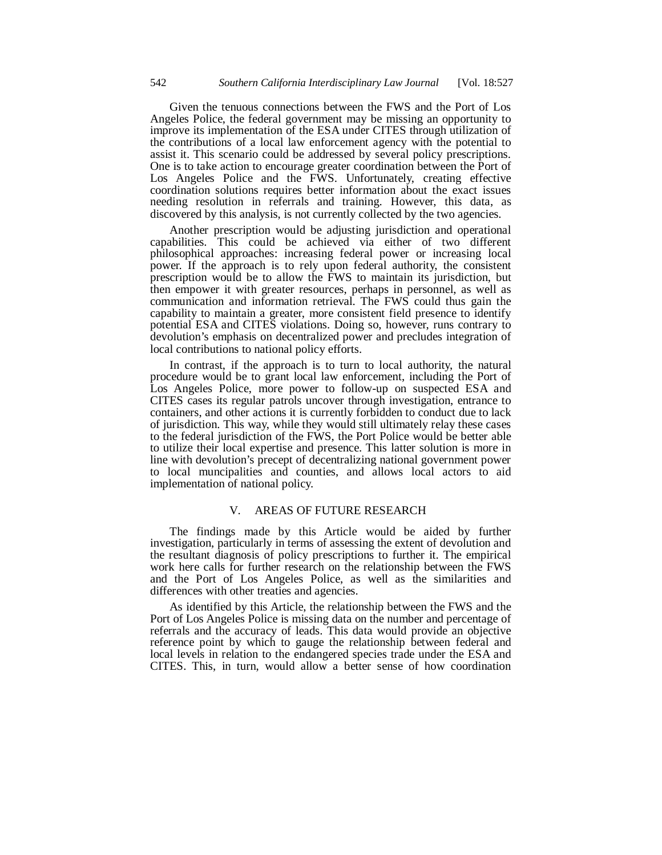Given the tenuous connections between the FWS and the Port of Los Angeles Police, the federal government may be missing an opportunity to improve its implementation of the ESA under CITES through utilization of the contributions of a local law enforcement agency with the potential to assist it. This scenario could be addressed by several policy prescriptions. One is to take action to encourage greater coordination between the Port of Los Angeles Police and the FWS. Unfortunately, creating effective coordination solutions requires better information about the exact issues needing resolution in referrals and training. However, this data, as discovered by this analysis, is not currently collected by the two agencies.

Another prescription would be adjusting jurisdiction and operational capabilities. This could be achieved via either of two different philosophical approaches: increasing federal power or increasing local power. If the approach is to rely upon federal authority, the consistent prescription would be to allow the FWS to maintain its jurisdiction, but then empower it with greater resources, perhaps in personnel, as well as communication and information retrieval. The FWS could thus gain the capability to maintain a greater, more consistent field presence to identify potential ESA and CITES violations. Doing so, however, runs contrary to devolution's emphasis on decentralized power and precludes integration of local contributions to national policy efforts.

In contrast, if the approach is to turn to local authority, the natural procedure would be to grant local law enforcement, including the Port of Los Angeles Police, more power to follow-up on suspected ESA and CITES cases its regular patrols uncover through investigation, entrance to containers, and other actions it is currently forbidden to conduct due to lack of jurisdiction. This way, while they would still ultimately relay these cases to the federal jurisdiction of the FWS, the Port Police would be better able to utilize their local expertise and presence. This latter solution is more in line with devolution's precept of decentralizing national government power to local muncipalities and counties, and allows local actors to aid implementation of national policy.

# V. AREAS OF FUTURE RESEARCH

The findings made by this Article would be aided by further investigation, particularly in terms of assessing the extent of devolution and the resultant diagnosis of policy prescriptions to further it. The empirical work here calls for further research on the relationship between the FWS and the Port of Los Angeles Police, as well as the similarities and differences with other treaties and agencies.

As identified by this Article, the relationship between the FWS and the Port of Los Angeles Police is missing data on the number and percentage of referrals and the accuracy of leads. This data would provide an objective reference point by which to gauge the relationship between federal and local levels in relation to the endangered species trade under the ESA and CITES. This, in turn, would allow a better sense of how coordination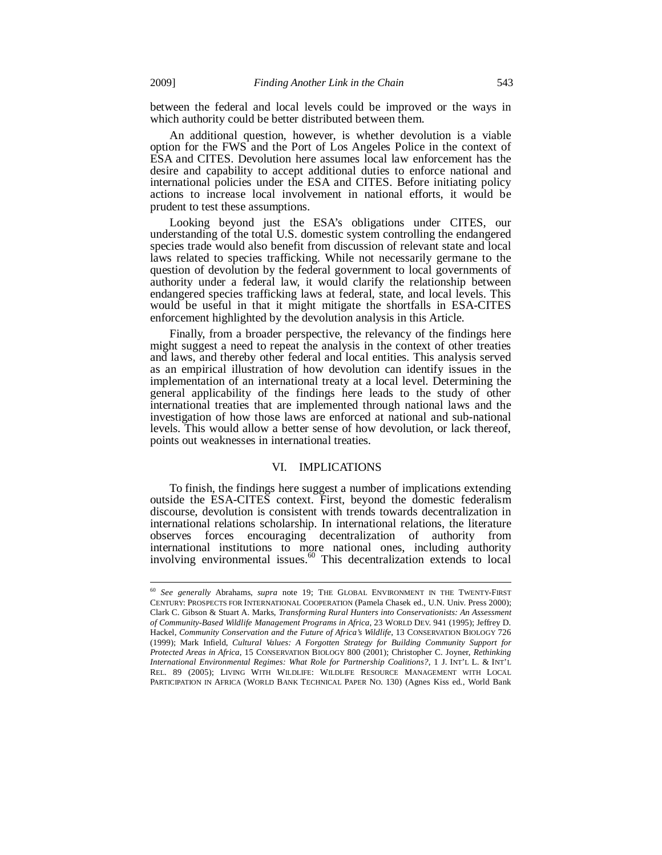between the federal and local levels could be improved or the ways in which authority could be better distributed between them.

An additional question, however, is whether devolution is a viable option for the FWS and the Port of Los Angeles Police in the context of ESA and CITES. Devolution here assumes local law enforcement has the desire and capability to accept additional duties to enforce national and international policies under the ESA and CITES. Before initiating policy actions to increase local involvement in national efforts, it would be prudent to test these assumptions.

Looking beyond just the ESA's obligations under CITES, our understanding of the total U.S. domestic system controlling the endangered species trade would also benefit from discussion of relevant state and local laws related to species trafficking. While not necessarily germane to the question of devolution by the federal government to local governments of authority under a federal law, it would clarify the relationship between endangered species trafficking laws at federal, state, and local levels. This would be useful in that it might mitigate the shortfalls in ESA-CITES enforcement highlighted by the devolution analysis in this Article.

Finally, from a broader perspective, the relevancy of the findings here might suggest a need to repeat the analysis in the context of other treaties and laws, and thereby other federal and local entities. This analysis served as an empirical illustration of how devolution can identify issues in the implementation of an international treaty at a local level. Determining the general applicability of the findings here leads to the study of other international treaties that are implemented through national laws and the investigation of how those laws are enforced at national and sub-national levels. This would allow a better sense of how devolution, or lack thereof, points out weaknesses in international treaties.

#### VI. IMPLICATIONS

To finish, the findings here suggest a number of implications extending outside the ESA-CITES context. First, beyond the domestic federalism discourse, devolution is consistent with trends towards decentralization in international relations scholarship. In international relations, the literature observes forces encouraging decentralization of authority from international institutions to more national ones, including authority involving environmental issues.<sup>60</sup> This decentralization extends to local

<sup>60</sup> *See generally* Abrahams, *supra* note 19; THE GLOBAL ENVIRONMENT IN THE TWENTY-FIRST CENTURY: PROSPECTS FOR INTERNATIONAL COOPERATION (Pamela Chasek ed., U.N. Univ. Press 2000); Clark C. Gibson & Stuart A. Marks, *Transforming Rural Hunters into Conservationists: An Assessment of Community-Based Wildlife Management Programs in Africa*, 23 WORLD DEV. 941 (1995); Jeffrey D. Hackel, *Community Conservation and the Future of Africa's Wildlife*, 13 CONSERVATION BIOLOGY 726 (1999); Mark Infield, *Cultural Values: A Forgotten Strategy for Building Community Support for Protected Areas in Africa*, 15 CONSERVATION BIOLOGY 800 (2001); Christopher C. Joyner, *Rethinking International Environmental Regimes: What Role for Partnership Coalitions?*, 1 J. INT'L L. & INT'L REL. 89 (2005); LIVING WITH WILDLIFE: WILDLIFE RESOURCE MANAGEMENT WITH LOCAL PARTICIPATION IN AFRICA (WORLD BANK TECHNICAL PAPER NO. 130) (Agnes Kiss ed., World Bank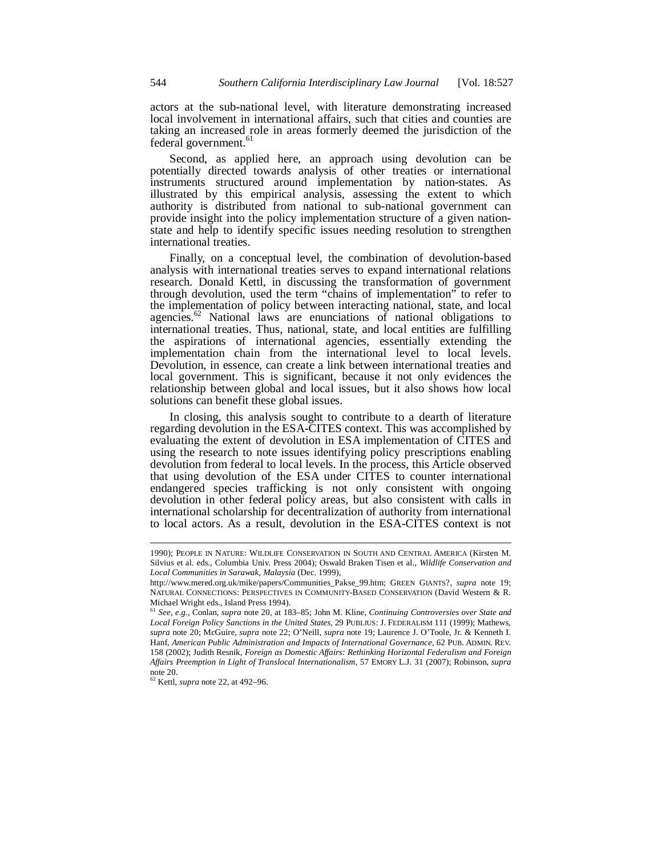actors at the sub-national level, with literature demonstrating increased local involvement in international affairs, such that cities and counties are taking an increased role in areas formerly deemed the jurisdiction of the federal government.<sup>61</sup>

Second, as applied here, an approach using devolution can be potentially directed towards analysis of other treaties or international instruments structured around implementation by nation-states. As illustrated by this empirical analysis, assessing the extent to which authority is distributed from national to sub-national government can provide insight into the policy implementation structure of a given nationstate and help to identify specific issues needing resolution to strengthen international treaties.

Finally, on a conceptual level, the combination of devolution-based analysis with international treaties serves to expand international relations research. Donald Kettl, in discussing the transformation of government through devolution, used the term "chains of implementation" to refer to the implementation of policy between interacting national, state, and local agencies.<sup>62</sup> National laws are enunciations of national obligations to international treaties. Thus, national, state, and local entities are fulfilling the aspirations of international agencies, essentially extending the implementation chain from the international level to local levels. Devolution, in essence, can create a link between international treaties and local government. This is significant, because it not only evidences the relationship between global and local issues, but it also shows how local solutions can benefit these global issues.

In closing, this analysis sought to contribute to a dearth of literature regarding devolution in the ESA-CITES context. This was accomplished by evaluating the extent of devolution in ESA implementation of CITES and using the research to note issues identifying policy prescriptions enabling devolution from federal to local levels. In the process, this Article observed that using devolution of the ESA under CITES to counter international endangered species trafficking is not only consistent with ongoing devolution in other federal policy areas, but also consistent with calls in international scholarship for decentralization of authority from international to local actors. As a result, devolution in the ESA-CITES context is not

<sup>1990);</sup> PEOPLE IN NATURE: WILDLIFE CONSERVATION IN SOUTH AND CENTRAL AMERICA (Kirsten M. Silvius et al. eds., Columbia Univ. Press 2004); Oswald Braken Tisen et al., *Wildlife Conservation and Local Communities in Sarawak, Malaysia* (Dec. 1999),

http://www.mered.org.uk/mike/papers/Communities\_Pakse\_99.htm; GREEN GIANTS?, *supra* note 19; NATURAL CONNECTIONS: PERSPECTIVES IN COMMUNITY-BASED CONSERVATION (David Western & R. Michael Wright eds., Island Press 1994).

<sup>61</sup> *See, e.g.*, Conlan, *supra* note 20, at 183–85; John M. Kline, *Continuing Controversies over State and Local Foreign Policy Sanctions in the United States*, 29 PUBLIUS: J. FEDERALISM 111 (1999); Mathews, *supra* note 20; McGuire, *supra* note 22; O'Neill, *supra* note 19; Laurence J. O'Toole, Jr. & Kenneth I. Hanf, *American Public Administration and Impacts of International Governance*, 62 PUB. ADMIN. REV. 158 (2002); Judith Resnik, *Foreign as Domestic Affairs: Rethinking Horizontal Federalism and Foreign Affairs Preemption in Light of Translocal Internationalism*, 57 EMORY L.J. 31 (2007); Robinson, *supra* note 20.

<sup>62</sup> Kettl, *supra* note 22, at 492–96.